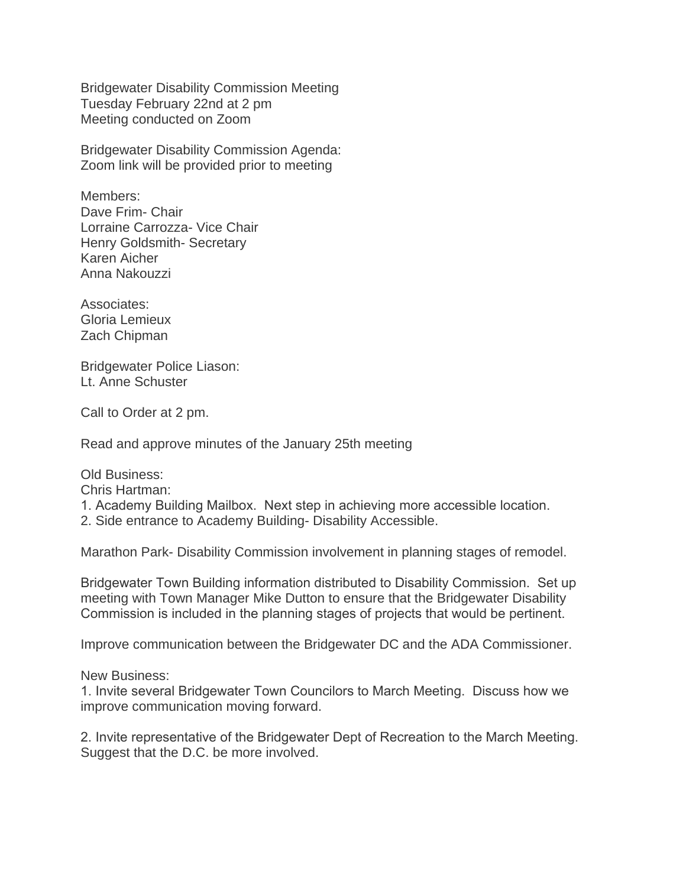Bridgewater Disability Commission Meeting Tuesday February 22nd at 2 pm Meeting conducted on Zoom

Bridgewater Disability Commission Agenda: Zoom link will be provided prior to meeting

Members: Dave Frim- Chair Lorraine Carrozza- Vice Chair Henry Goldsmith- Secretary Karen Aicher Anna Nakouzzi

Associates: Gloria Lemieux Zach Chipman

Bridgewater Police Liason: Lt. Anne Schuster

Call to Order at 2 pm.

Read and approve minutes of the January 25th meeting

Old Business:

Chris Hartman:

1. Academy Building Mailbox. Next step in achieving more accessible location.

2. Side entrance to Academy Building- Disability Accessible.

Marathon Park- Disability Commission involvement in planning stages of remodel.

Bridgewater Town Building information distributed to Disability Commission. Set up meeting with Town Manager Mike Dutton to ensure that the Bridgewater Disability Commission is included in the planning stages of projects that would be pertinent.

Improve communication between the Bridgewater DC and the ADA Commissioner.

New Business:

1. Invite several Bridgewater Town Councilors to March Meeting. Discuss how we improve communication moving forward.

2. Invite representative of the Bridgewater Dept of Recreation to the March Meeting. Suggest that the D.C. be more involved.